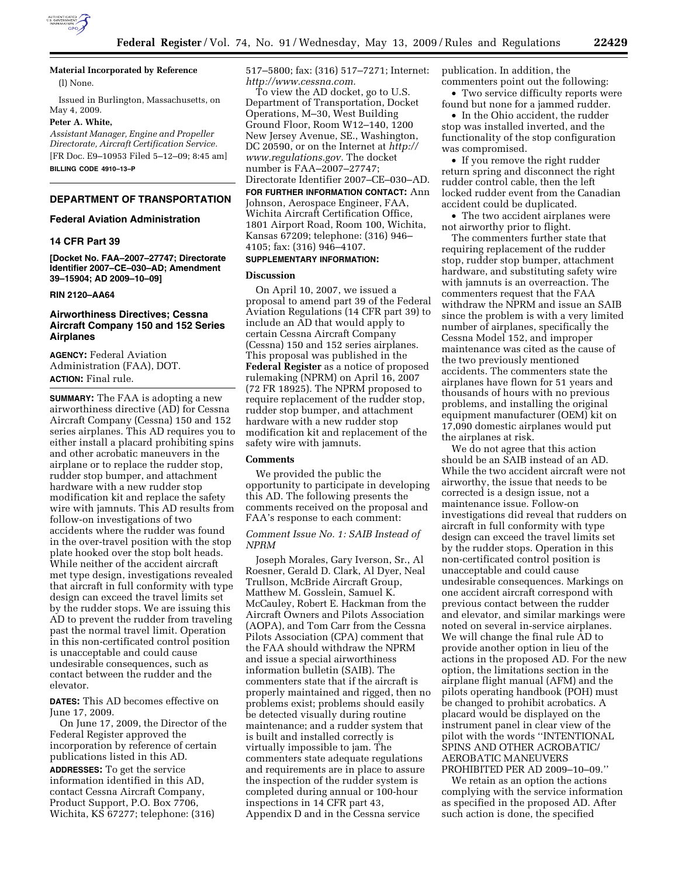

**Material Incorporated by Reference**  (l) None.

Issued in Burlington, Massachusetts, on May 4, 2009.

#### **Peter A. White,**

*Assistant Manager, Engine and Propeller Directorate, Aircraft Certification Service.*  [FR Doc. E9–10953 Filed 5–12–09; 8:45 am] **BILLING CODE 4910–13–P** 

# **DEPARTMENT OF TRANSPORTATION**

### **Federal Aviation Administration**

### **14 CFR Part 39**

**[Docket No. FAA–2007–27747; Directorate Identifier 2007–CE–030–AD; Amendment 39–15904; AD 2009–10–09]** 

### **RIN 2120–AA64**

# **Airworthiness Directives; Cessna Aircraft Company 150 and 152 Series Airplanes**

**AGENCY:** Federal Aviation Administration (FAA), DOT. **ACTION:** Final rule.

**SUMMARY:** The FAA is adopting a new airworthiness directive (AD) for Cessna Aircraft Company (Cessna) 150 and 152 series airplanes. This AD requires you to either install a placard prohibiting spins and other acrobatic maneuvers in the airplane or to replace the rudder stop, rudder stop bumper, and attachment hardware with a new rudder stop modification kit and replace the safety wire with jamnuts. This AD results from follow-on investigations of two accidents where the rudder was found in the over-travel position with the stop plate hooked over the stop bolt heads. While neither of the accident aircraft met type design, investigations revealed that aircraft in full conformity with type design can exceed the travel limits set by the rudder stops. We are issuing this AD to prevent the rudder from traveling past the normal travel limit. Operation in this non-certificated control position is unacceptable and could cause undesirable consequences, such as contact between the rudder and the elevator.

**DATES:** This AD becomes effective on June 17, 2009.

On June 17, 2009, the Director of the Federal Register approved the incorporation by reference of certain publications listed in this AD.

**ADDRESSES:** To get the service information identified in this AD, contact Cessna Aircraft Company, Product Support, P.O. Box 7706, Wichita, KS 67277; telephone: (316) 517–5800; fax: (316) 517–7271; Internet: *http://www.cessna.com.* 

To view the AD docket, go to U.S. Department of Transportation, Docket Operations, M–30, West Building Ground Floor, Room W12–140, 1200 New Jersey Avenue, SE., Washington, DC 20590, or on the Internet at *http:// www.regulations.gov.* The docket number is FAA–2007–27747; Directorate Identifier 2007–CE–030–AD.

**FOR FURTHER INFORMATION CONTACT:** Ann Johnson, Aerospace Engineer, FAA, Wichita Aircraft Certification Office, 1801 Airport Road, Room 100, Wichita, Kansas 67209; telephone: (316) 946– 4105; fax: (316) 946–4107.

### **SUPPLEMENTARY INFORMATION:**

#### **Discussion**

On April 10, 2007, we issued a proposal to amend part 39 of the Federal Aviation Regulations (14 CFR part 39) to include an AD that would apply to certain Cessna Aircraft Company (Cessna) 150 and 152 series airplanes. This proposal was published in the **Federal Register** as a notice of proposed rulemaking (NPRM) on April 16, 2007 (72 FR 18925). The NPRM proposed to require replacement of the rudder stop, rudder stop bumper, and attachment hardware with a new rudder stop modification kit and replacement of the safety wire with jamnuts.

#### **Comments**

We provided the public the opportunity to participate in developing this AD. The following presents the comments received on the proposal and FAA's response to each comment:

### *Comment Issue No. 1: SAIB Instead of NPRM*

Joseph Morales, Gary Iverson, Sr., Al Roesner, Gerald D. Clark, Al Dyer, Neal Trullson, McBride Aircraft Group, Matthew M. Gosslein, Samuel K. McCauley, Robert E. Hackman from the Aircraft Owners and Pilots Association (AOPA), and Tom Carr from the Cessna Pilots Association (CPA) comment that the FAA should withdraw the NPRM and issue a special airworthiness information bulletin (SAIB). The commenters state that if the aircraft is properly maintained and rigged, then no problems exist; problems should easily be detected visually during routine maintenance; and a rudder system that is built and installed correctly is virtually impossible to jam. The commenters state adequate regulations and requirements are in place to assure the inspection of the rudder system is completed during annual or 100-hour inspections in 14 CFR part 43, Appendix D and in the Cessna service

publication. In addition, the commenters point out the following:

• Two service difficulty reports were found but none for a jammed rudder.

• In the Ohio accident, the rudder stop was installed inverted, and the functionality of the stop configuration was compromised.

• If you remove the right rudder return spring and disconnect the right rudder control cable, then the left locked rudder event from the Canadian accident could be duplicated.

• The two accident airplanes were not airworthy prior to flight.

The commenters further state that requiring replacement of the rudder stop, rudder stop bumper, attachment hardware, and substituting safety wire with jamnuts is an overreaction. The commenters request that the FAA withdraw the NPRM and issue an SAIB since the problem is with a very limited number of airplanes, specifically the Cessna Model 152, and improper maintenance was cited as the cause of the two previously mentioned accidents. The commenters state the airplanes have flown for 51 years and thousands of hours with no previous problems, and installing the original equipment manufacturer (OEM) kit on 17,090 domestic airplanes would put the airplanes at risk.

We do not agree that this action should be an SAIB instead of an AD. While the two accident aircraft were not airworthy, the issue that needs to be corrected is a design issue, not a maintenance issue. Follow-on investigations did reveal that rudders on aircraft in full conformity with type design can exceed the travel limits set by the rudder stops. Operation in this non-certificated control position is unacceptable and could cause undesirable consequences. Markings on one accident aircraft correspond with previous contact between the rudder and elevator, and similar markings were noted on several in-service airplanes. We will change the final rule AD to provide another option in lieu of the actions in the proposed AD. For the new option, the limitations section in the airplane flight manual (AFM) and the pilots operating handbook (POH) must be changed to prohibit acrobatics. A placard would be displayed on the instrument panel in clear view of the pilot with the words ''INTENTIONAL SPINS AND OTHER ACROBATIC/ AEROBATIC MANEUVERS PROHIBITED PER AD 2009–10–09.''

We retain as an option the actions complying with the service information as specified in the proposed AD. After such action is done, the specified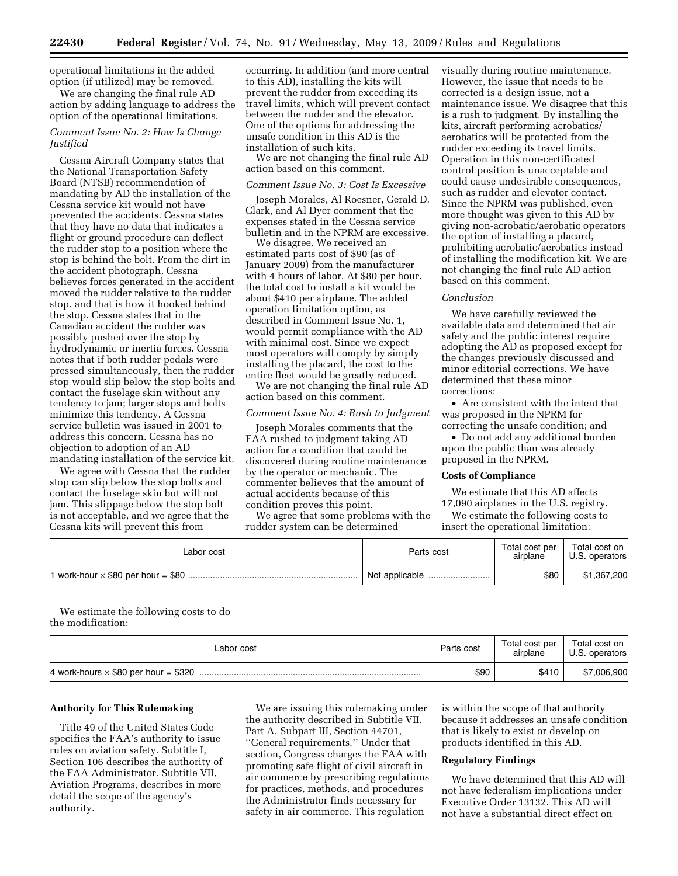operational limitations in the added option (if utilized) may be removed.

We are changing the final rule AD action by adding language to address the option of the operational limitations.

# *Comment Issue No. 2: How Is Change Justified*

Cessna Aircraft Company states that the National Transportation Safety Board (NTSB) recommendation of mandating by AD the installation of the Cessna service kit would not have prevented the accidents. Cessna states that they have no data that indicates a flight or ground procedure can deflect the rudder stop to a position where the stop is behind the bolt. From the dirt in the accident photograph, Cessna believes forces generated in the accident moved the rudder relative to the rudder stop, and that is how it hooked behind the stop. Cessna states that in the Canadian accident the rudder was possibly pushed over the stop by hydrodynamic or inertia forces. Cessna notes that if both rudder pedals were pressed simultaneously, then the rudder stop would slip below the stop bolts and contact the fuselage skin without any tendency to jam; larger stops and bolts minimize this tendency. A Cessna service bulletin was issued in 2001 to address this concern. Cessna has no objection to adoption of an AD mandating installation of the service kit.

We agree with Cessna that the rudder stop can slip below the stop bolts and contact the fuselage skin but will not jam. This slippage below the stop bolt is not acceptable, and we agree that the Cessna kits will prevent this from

occurring. In addition (and more central to this AD), installing the kits will prevent the rudder from exceeding its travel limits, which will prevent contact between the rudder and the elevator. One of the options for addressing the unsafe condition in this AD is the installation of such kits.

We are not changing the final rule AD action based on this comment.

#### *Comment Issue No. 3: Cost Is Excessive*

Joseph Morales, Al Roesner, Gerald D. Clark, and Al Dyer comment that the expenses stated in the Cessna service bulletin and in the NPRM are excessive.

We disagree. We received an estimated parts cost of \$90 (as of January 2009) from the manufacturer with 4 hours of labor. At \$80 per hour, the total cost to install a kit would be about \$410 per airplane. The added operation limitation option, as described in Comment Issue No. 1, would permit compliance with the AD with minimal cost. Since we expect most operators will comply by simply installing the placard, the cost to the entire fleet would be greatly reduced.

We are not changing the final rule AD action based on this comment.

# *Comment Issue No. 4: Rush to Judgment*

Joseph Morales comments that the FAA rushed to judgment taking AD action for a condition that could be discovered during routine maintenance by the operator or mechanic. The commenter believes that the amount of actual accidents because of this condition proves this point.

We agree that some problems with the rudder system can be determined

visually during routine maintenance. However, the issue that needs to be corrected is a design issue, not a maintenance issue. We disagree that this is a rush to judgment. By installing the kits, aircraft performing acrobatics/ aerobatics will be protected from the rudder exceeding its travel limits. Operation in this non-certificated control position is unacceptable and could cause undesirable consequences, such as rudder and elevator contact. Since the NPRM was published, even more thought was given to this AD by giving non-acrobatic/aerobatic operators the option of installing a placard, prohibiting acrobatic/aerobatics instead of installing the modification kit. We are not changing the final rule AD action based on this comment.

### *Conclusion*

We have carefully reviewed the available data and determined that air safety and the public interest require adopting the AD as proposed except for the changes previously discussed and minor editorial corrections. We have determined that these minor corrections:

• Are consistent with the intent that was proposed in the NPRM for correcting the unsafe condition; and

• Do not add any additional burden upon the public than was already proposed in the NPRM.

# **Costs of Compliance**

We estimate that this AD affects

17,090 airplanes in the U.S. registry. We estimate the following costs to

insert the operational limitation:

| Labor cost | Parts cost     | Total cost per<br>airplane | Total cost on<br>U.S. operators |
|------------|----------------|----------------------------|---------------------------------|
|            | Not applicable | \$80                       | \$1,367,200                     |

We estimate the following costs to do the modification:

| Labor cost                                  | Parts cost | Total cost per<br>airplane | Total cost on<br>U.S. operators |
|---------------------------------------------|------------|----------------------------|---------------------------------|
| 4 work-hours $\times$ \$80 per hour = \$320 | \$90       | \$410                      | \$7,006,900                     |

#### **Authority for This Rulemaking**

Title 49 of the United States Code specifies the FAA's authority to issue rules on aviation safety. Subtitle I, Section 106 describes the authority of the FAA Administrator. Subtitle VII, Aviation Programs, describes in more detail the scope of the agency's authority.

We are issuing this rulemaking under the authority described in Subtitle VII, Part A, Subpart III, Section 44701, ''General requirements.'' Under that section, Congress charges the FAA with promoting safe flight of civil aircraft in air commerce by prescribing regulations for practices, methods, and procedures the Administrator finds necessary for safety in air commerce. This regulation

is within the scope of that authority because it addresses an unsafe condition that is likely to exist or develop on products identified in this AD.

# **Regulatory Findings**

We have determined that this AD will not have federalism implications under Executive Order 13132. This AD will not have a substantial direct effect on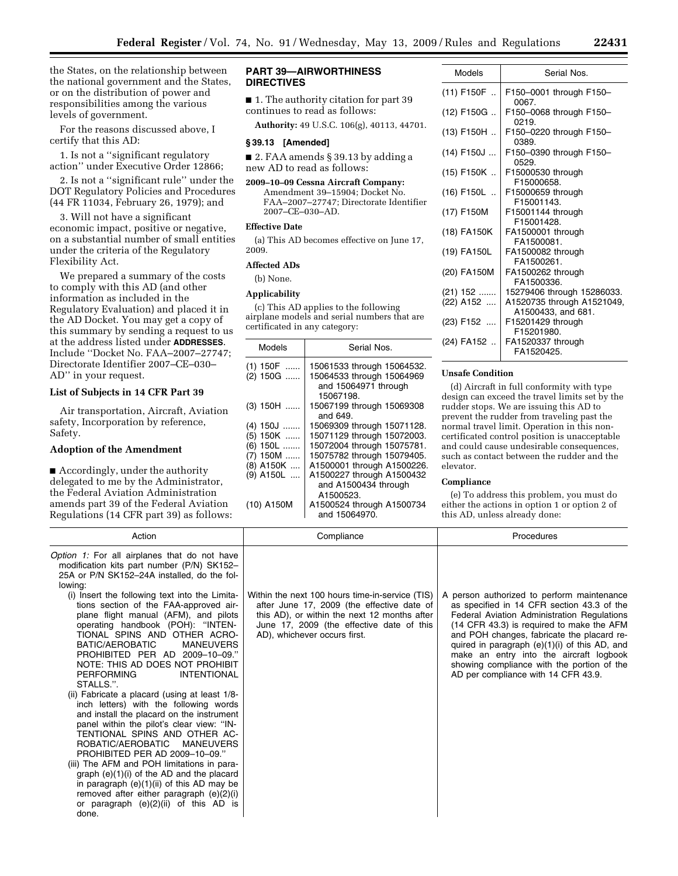the States, on the relationship between the national government and the States, or on the distribution of power and responsibilities among the various levels of government.

For the reasons discussed above, I certify that this AD:

1. Is not a ''significant regulatory action'' under Executive Order 12866;

2. Is not a ''significant rule'' under the DOT Regulatory Policies and Procedures (44 FR 11034, February 26, 1979); and

3. Will not have a significant economic impact, positive or negative, on a substantial number of small entities under the criteria of the Regulatory Flexibility Act.

We prepared a summary of the costs to comply with this AD (and other information as included in the Regulatory Evaluation) and placed it in the AD Docket. You may get a copy of this summary by sending a request to us at the address listed under **ADDRESSES**. Include ''Docket No. FAA–2007–27747; Directorate Identifier 2007–CE–030– AD'' in your request.

### **List of Subjects in 14 CFR Part 39**

Air transportation, Aircraft, Aviation safety, Incorporation by reference, Safety.

# **Adoption of the Amendment**

■ Accordingly, under the authority delegated to me by the Administrator, the Federal Aviation Administration amends part 39 of the Federal Aviation Regulations (14 CFR part 39) as follows:

### **PART 39—AIRWORTHINESS DIRECTIVES**

■ 1. The authority citation for part 39 continues to read as follows:

**Authority:** 49 U.S.C. 106(g), 40113, 44701.

### **§ 39.13 [Amended]**

■ 2. FAA amends § 39.13 by adding a new AD to read as follows:

**2009–10–09 Cessna Aircraft Company:**  Amendment 39–15904; Docket No. FAA–2007–27747; Directorate Identifier 2007–CE–030–AD.

### **Effective Date**

(a) This AD becomes effective on June 17, 2009.

# **Affected ADs**

(b) None.

### **Applicability**

(c) This AD applies to the following airplane models and serial numbers that are certificated in any category:

| Models                 | Serial Nos.                                             |  |
|------------------------|---------------------------------------------------------|--|
| $(1)$ 150F<br>(2) 150G | 15061533 through 15064532.<br>15064533 through 15064969 |  |
|                        | and 15064971 through<br>15067198.                       |  |
| $(3)$ 150H             | 15067199 through 15069308<br>and 649.                   |  |
| $(4)$ 150J             | 15069309 through 15071128.                              |  |
| $(5)$ 150K             | 15071129 through 15072003.                              |  |
| $(6)$ 150L             | 15072004 through 15075781.                              |  |
| $(7)$ 150M             | 15075782 through 15079405.                              |  |
| (8) A150K              | A1500001 through A1500226.                              |  |
| $(9)$ A150L            | A1500227 through A1500432                               |  |
|                        | and A1500434 through                                    |  |
|                        | A1500523.                                               |  |
| (10) A150M             | A1500524 through A1500734<br>and 15064970.              |  |

| Models                  | Serial Nos.                                              |
|-------------------------|----------------------------------------------------------|
| $(11)$ F150F            | F150-0001 through F150-<br>0067.                         |
| (12) F150G              | F150-0068 through F150-<br>0219.                         |
| (13) F150H              | F150-0220 through F150-<br>0389.                         |
| (14) F150J              | F150-0390 through F150-<br>0529.                         |
| $(15)$ F150K            | F15000530 through<br>F15000658.                          |
| $(16)$ F150L            | F15000659 through<br>F15001143.                          |
| (17) F150M              | F15001144 through<br>F15001428.                          |
| (18) FA150K             | FA1500001 through<br>FA1500081.                          |
| (19) FA150L             | FA1500082 through<br>FA1500261.                          |
| (20) FA150M             | FA1500262 through<br>FA1500336.                          |
| $(21)$ 152<br>(22) A152 | 15279406 through 15286033.<br>A1520735 through A1521049, |
| (23) F152               | A1500433, and 681.<br>F15201429 through<br>F15201980.    |
| (24) FA152              | FA1520337 through<br>FA1520425                           |
|                         |                                                          |

#### **Unsafe Condition**

(d) Aircraft in full conformity with type design can exceed the travel limits set by the rudder stops. We are issuing this AD to prevent the rudder from traveling past the normal travel limit. Operation in this noncertificated control position is unacceptable and could cause undesirable consequences, such as contact between the rudder and the elevator.

#### **Compliance**

(e) To address this problem, you must do either the actions in option 1 or option 2 of this AD, unless already done:

| Action                                                                                                                                                                                                                                                                                                                                                                                                                                                                                                                                                                                                                        | Compliance                                                                                                                                                                                                                 | Procedures                                                                                                                                                                                                                                                                                                                                                                                                            |
|-------------------------------------------------------------------------------------------------------------------------------------------------------------------------------------------------------------------------------------------------------------------------------------------------------------------------------------------------------------------------------------------------------------------------------------------------------------------------------------------------------------------------------------------------------------------------------------------------------------------------------|----------------------------------------------------------------------------------------------------------------------------------------------------------------------------------------------------------------------------|-----------------------------------------------------------------------------------------------------------------------------------------------------------------------------------------------------------------------------------------------------------------------------------------------------------------------------------------------------------------------------------------------------------------------|
| Option 1: For all airplanes that do not have<br>modification kits part number (P/N) SK152-<br>25A or P/N SK152-24A installed, do the fol-<br>lowing:<br>(i) Insert the following text into the Limita-<br>tions section of the FAA-approved air-<br>plane flight manual (AFM), and pilots<br>operating handbook (POH): "INTEN-<br>TIONAL SPINS AND OTHER ACRO-<br>BATIC/AEROBATIC<br><b>MANEUVERS</b><br>PROHIBITED PER AD 2009-10-09."<br>NOTE: THIS AD DOES NOT PROHIBIT<br><b>INTENTIONAL</b><br><b>PERFORMING</b><br>STALLS.".<br>(ii) Fabricate a placard (using at least 1/8-<br>inch letters) with the following words | Within the next 100 hours time-in-service (TIS)<br>after June 17, 2009 (the effective date of<br>this AD), or within the next 12 months after<br>June 17, 2009 (the effective date of this<br>AD), whichever occurs first. | A person authorized to perform maintenance<br>as specified in 14 CFR section 43.3 of the<br>Federal Aviation Administration Regulations<br>(14 CFR 43.3) is required to make the AFM<br>and POH changes, fabricate the placard re-<br>quired in paragraph $(e)(1)(i)$ of this AD, and<br>make an entry into the aircraft logbook<br>showing compliance with the portion of the<br>AD per compliance with 14 CFR 43.9. |
| and install the placard on the instrument<br>panel within the pilot's clear view: "IN-<br>TENTIONAL SPINS AND OTHER AC-<br>ROBATIC/AEROBATIC<br>MANEUVERS<br>PROHIBITED PER AD 2009-10-09."<br>(iii) The AFM and POH limitations in para-<br>graph $(e)(1)(i)$ of the AD and the placard<br>in paragraph $(e)(1)(ii)$ of this AD may be<br>removed after either paragraph (e)(2)(i)<br>or paragraph $(e)(2)(ii)$ of this AD is<br>done.                                                                                                                                                                                       |                                                                                                                                                                                                                            |                                                                                                                                                                                                                                                                                                                                                                                                                       |